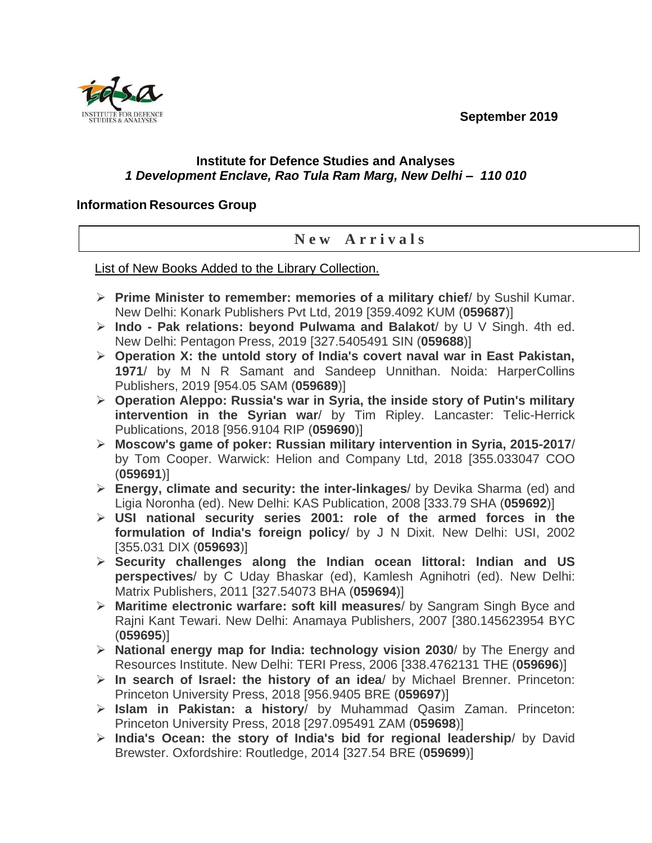**September 2019**



## **Institute for Defence Studies and Analyses** *1 Development Enclave, Rao Tula Ram Marg, New Delhi – 110 010*

## **Information Resources Group**

## **N e w A r r i v a l s**

List of New Books Added to the Library Collection.

- ➢ **Prime Minister to remember: memories of a military chief**/ by Sushil Kumar. New Delhi: Konark Publishers Pvt Ltd, 2019 [359.4092 KUM (**059687**)]
- ➢ **Indo - Pak relations: beyond Pulwama and Balakot**/ by U V Singh. 4th ed. New Delhi: Pentagon Press, 2019 [327.5405491 SIN (**059688**)]
- ➢ **Operation X: the untold story of India's covert naval war in East Pakistan, 1971**/ by M N R Samant and Sandeep Unnithan. Noida: HarperCollins Publishers, 2019 [954.05 SAM (**059689**)]
- ➢ **Operation Aleppo: Russia's war in Syria, the inside story of Putin's military intervention in the Syrian war**/ by Tim Ripley. Lancaster: Telic-Herrick Publications, 2018 [956.9104 RIP (**059690**)]
- ➢ **Moscow's game of poker: Russian military intervention in Syria, 2015-2017**/ by Tom Cooper. Warwick: Helion and Company Ltd, 2018 [355.033047 COO (**059691**)]
- ➢ **Energy, climate and security: the inter-linkages**/ by Devika Sharma (ed) and Ligia Noronha (ed). New Delhi: KAS Publication, 2008 [333.79 SHA (**059692**)]
- ➢ **USI national security series 2001: role of the armed forces in the formulation of India's foreign policy**/ by J N Dixit. New Delhi: USI, 2002 [355.031 DIX (**059693**)]
- ➢ **Security challenges along the Indian ocean littoral: Indian and US perspectives**/ by C Uday Bhaskar (ed), Kamlesh Agnihotri (ed). New Delhi: Matrix Publishers, 2011 [327.54073 BHA (**059694**)]
- ➢ **Maritime electronic warfare: soft kill measures**/ by Sangram Singh Byce and Rajni Kant Tewari. New Delhi: Anamaya Publishers, 2007 [380.145623954 BYC (**059695**)]
- ➢ **National energy map for India: technology vision 2030**/ by The Energy and Resources Institute. New Delhi: TERI Press, 2006 [338.4762131 THE (**059696**)]
- ➢ **In search of Israel: the history of an idea**/ by Michael Brenner. Princeton: Princeton University Press, 2018 [956.9405 BRE (**059697**)]
- ➢ **Islam in Pakistan: a history**/ by Muhammad Qasim Zaman. Princeton: Princeton University Press, 2018 [297.095491 ZAM (**059698**)]
- ➢ **India's Ocean: the story of India's bid for regional leadership**/ by David Brewster. Oxfordshire: Routledge, 2014 [327.54 BRE (**059699**)]